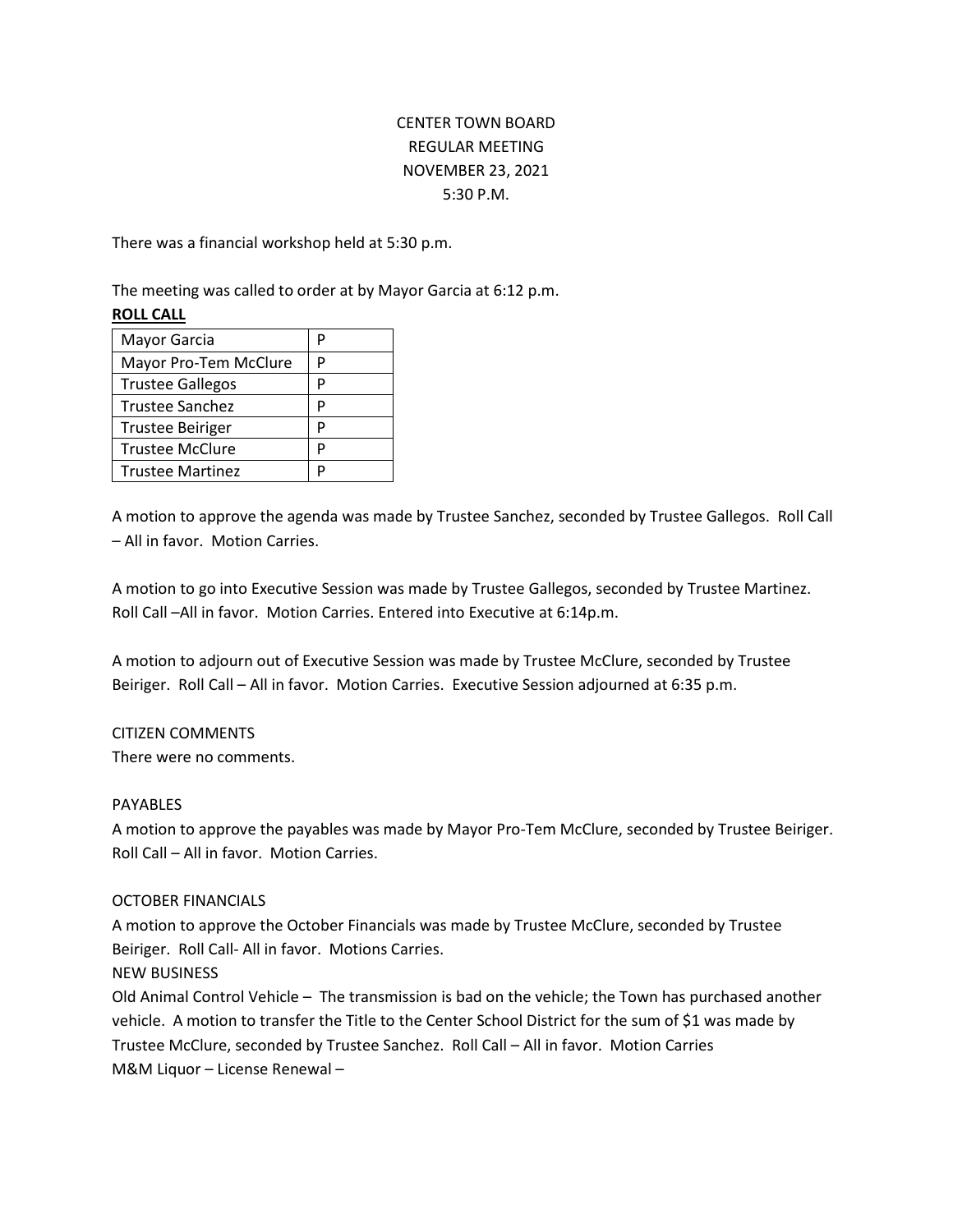# CENTER TOWN BOARD REGULAR MEETING NOVEMBER 23, 2021 5:30 P.M.

There was a financial workshop held at 5:30 p.m.

The meeting was called to order at by Mayor Garcia at 6:12 p.m.

## **ROLL CALL**

| Mayor Garcia            |   |
|-------------------------|---|
| Mayor Pro-Tem McClure   | D |
| <b>Trustee Gallegos</b> | p |
| Trustee Sanchez         | P |
| <b>Trustee Beiriger</b> | P |
| <b>Trustee McClure</b>  | D |
| <b>Trustee Martinez</b> |   |

A motion to approve the agenda was made by Trustee Sanchez, seconded by Trustee Gallegos. Roll Call – All in favor. Motion Carries.

A motion to go into Executive Session was made by Trustee Gallegos, seconded by Trustee Martinez. Roll Call –All in favor. Motion Carries. Entered into Executive at 6:14p.m.

A motion to adjourn out of Executive Session was made by Trustee McClure, seconded by Trustee Beiriger. Roll Call – All in favor. Motion Carries. Executive Session adjourned at 6:35 p.m.

### CITIZEN COMMENTS

There were no comments.

### PAYABLES

A motion to approve the payables was made by Mayor Pro-Tem McClure, seconded by Trustee Beiriger. Roll Call – All in favor. Motion Carries.

### OCTOBER FINANCIALS

A motion to approve the October Financials was made by Trustee McClure, seconded by Trustee Beiriger. Roll Call- All in favor. Motions Carries.

### NEW BUSINESS

Old Animal Control Vehicle – The transmission is bad on the vehicle; the Town has purchased another vehicle. A motion to transfer the Title to the Center School District for the sum of \$1 was made by Trustee McClure, seconded by Trustee Sanchez. Roll Call – All in favor. Motion Carries M&M Liquor – License Renewal –